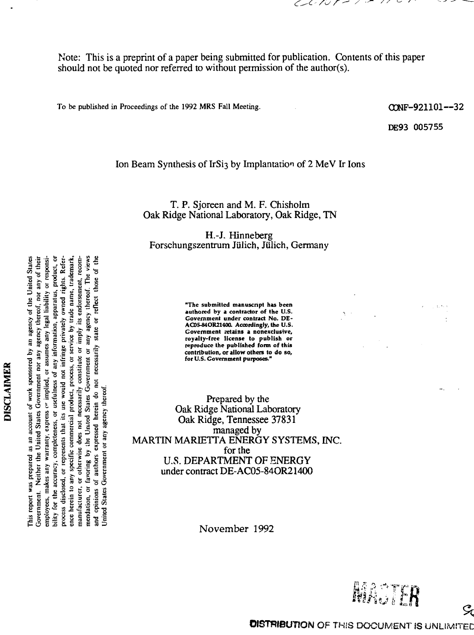ヒノ・ノツ アー・ノー

Note: This is a preprint of a paper being submitted for publication. Contents of this paper should not be quoted nor referred to without permission of the author(s).

To be published in Proceedings of the 1992 MRS Fall Meeting.  $\text{CDF} - \text{CDF} - \text{921101} - \text{32}$ 

DE93 005755

#### Ion Beam Synthesis of IrSi3 by Implantation of 2 MeV Ir Ions

T. P. Sjoreen and M. F. Chisholm Oak Ridge National Laboratory, Oak Ridge, TN

H.-J. Hinneberg Forschungszentrum Jülich, Jülich, Germany

authored by a contractor of the U.S. **^^^"^"•ici - Government under contract No. DEg " i =11 " Si ° AC05-84OR2I400. Accordingly, the U.S.**  $\frac{1}{2}$   $\frac{1}{2}$   $\frac{2}{3}$   $\frac{3}{4}$   $\frac{3}{5}$   $\frac{3}{5}$   $\frac{3}{5}$   $\frac{3}{5}$   $\frac{3}{5}$   $\frac{3}{5}$   $\frac{3}{5}$   $\frac{3}{5}$   $\frac{3}{5}$   $\frac{3}{5}$   $\frac{3}{5}$   $\frac{3}{5}$   $\frac{3}{5}$   $\frac{3}{5}$   $\frac{3}{5}$   $\frac{3}{5}$   $\frac{3}{5}$   $\frac{3}{5}$  $\frac{1}{2}$   $\frac{1}{2}$   $\frac{1}{2}$   $\frac{1}{2}$   $\frac{1}{3}$   $\frac{1}{4}$   $\frac{1}{5}$   $\frac{1}{6}$   $\frac{1}{2}$   $\frac{1}{3}$   $\frac{1}{2}$   $\frac{1}{3}$   $\frac{1}{2}$   $\frac{1}{3}$   $\frac{1}{2}$   $\frac{1}{3}$   $\frac{1}{2}$   $\frac{1}{3}$   $\frac{1}{2}$   $\frac{1}{3}$   $\frac{1}{2}$   $\frac{1}{3}$  **- s - Government purposes."**

Prepared by the Oak Ridge National Laboratory Superior Cak Ridge, Tennessee 37831 **EXAMPLE 2.5 STARF STARF SEE SHOW:**<br>
Illustration of the start of the start of the start of the start of the start of the start of the start of the<br>
Illustration of the start of the start of the start of the start of the s  $f_{\rm g}$  for the form of the form of the set of the set of the set of the set of the set of the set of the set of the set of the set of the set of the set of the set of the set of the set of the set of the set of the set for the<br>
U.S. DEPARTMENT OF ENERGY under contract DE-AC05-84OR21400

November 1992



A strain is the submitted manuscript has been<br>given in the submitted manuscript has been as the submitted manuscript has been<br>given if  $\frac{1}{2}$  given by the submitted manuscript has been<br>given if  $\frac{1}{2}$  given by the su Government. Neither the United States Government nor any agency thereof, nor any of their This report was prepared as an account of work sponsored by an agency of the United States *<sup>a</sup>* **| >, £ o ~ c S io r u** •8 *z* i& i s i 1 1 process disclosed, or represents that its use would not infringe privately owned rights. Reference herein to any specific commercial product, process, or service by trade name, trademark, ន្ត្ថិ រូ om<br>State of skilled<br>State of State of State of State of State of State of State of State of State of State of State of State of S United States Government or any agency thereof **Example 18**<br>  $\alpha$  **Example 18**<br>  $\alpha$  completents that<br>  $\alpha$  if  $\beta$  comments that<br>  $\alpha$  if  $\beta$  comments<br>  $\alpha$  is  $\alpha$  by the UL<br>  $\alpha$  by the UL expre **) r i e n c f .** *f* **e s s , ma s i s i s s** *s* **<b>n s i s i s c b i s i c d i d i d d i d i d i d i d i d i d i d i d** report<br>The Second Second<br>1.1 action<br>1.1 action<br>1.1 action<br>1.1 8 action

**Sates**<br> *S* -s international control of the set of the set of the set of the set of the set of the set of the set of the set of the set of the set of the set of the set of the set of the set of the set of the set of the s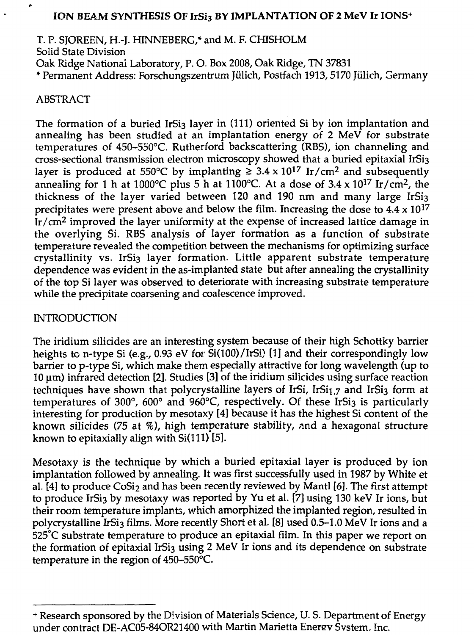### ION BEAM SYNTHESIS OF IrSi3 BY IMPLANTATION OF 2 MeV Ir IONS+

T. P. SJOREEN, H.-J. HINNEBERG,\* and M. F. CHISHOLM Solid State Division Oak Ridge National Laboratory, P. O- Box 2008, Oak Ridge, TN 37831 \* Permanent Address: Forschungszentrum Julich, Postfach 1913,5170 Jiilich, Germany

### ABSTRACT

The formation of a buried IrSi3 layer in (111) oriented Si by ion implantation and annealing has been studied at an implantation energy of 2 MeV for substrate temperatures of 450-550°C. Rutherford backscattering (RBS), ion channeling and cross-sectional transmission electron microscopy showed that a buried epitaxial IrSi3 layer is produced at 550°C by implanting  $\geq 3.4 \times 10^{17}$  Ir/cm<sup>2</sup> and subsequently annealing for 1 h at 1000°C plus 5 h at 1100°C. At a dose of 3.4 x 10<sup>17</sup> Ir/cm<sup>2</sup>, the thickness of the layer varied between 120 and 190 nm and many large IrSi3 precipitates were present above and below the film. Increasing the dose to  $4.4 \times 10^{17}$ Ir/cm<sup>2</sup> improved the layer uniformity at the expense of increased lattice damage in the overlying Si. RBS analysis of layer formation as a function of substrate temperature revealed the competition between the mechanisms for optimizing surface crystallinity vs. IrSi3 layer formation. Little apparent substrate temperature dependence was evident in the as-implanted state but after annealing the crystallinity of the top Si layer was observed to deteriorate with increasing substrate temperature while the precipitate coarsening and coalescence improved.

## INTRODUCTION

The iridium silicides are an interesting system because of their high Schottky barrier heights to n-type Si (e.g., 0.93 eV for Si(100)/IrSi) [1] and their correspondingly low barrier to p-type Si, which make them especially attractive for long wavelength (up to  $10 \,\mu$ m) infrared detection [2]. Studies [3] of the iridium silicides using surface reaction techniques have shown that polycrystalline layers of IrSi, IrSi $_{1.7}$  and IrSi<sub>3</sub> form at temperatures of 300°, 600° and 960°C, respectively. Of these IrSi3 is particularly interesting for production by mesotaxy [4] because it has the highest Si content of the known silicides (75 at %), high temperature stability, nnd a hexagonal structure known to epitaxially align with  $Si(111)$  [5].

Mesotaxy is the technique by which a buried epitaxial layer is produced by ion implantation followed by annealing. It was first successfully used in 1987 by White et al. [4] to produce  $\cos i_2$  and has been recently reviewed by Mantl [6]. The first attempt to produce IrSi<sub>3</sub> by mesotaxy was reported by Yu et al. [7] using 130 keV Ir ions, but their room temperature implants, which amorphized the implanted region, resulted in polycrystalline IrSi<sub>3</sub> films. More recently Short et al. [8] used 0.5-1.0 MeV Ir ions and a 525°C substrate temperature to produce an epitaxial film. In this paper we report on the formation of epitaxial IrSi3 using 2 MeV Ir ions and its dependence on substrate temperature in the region of 450-550°C

<sup>+</sup> Research sponsored by the Division of Materials Science, U. S. Department of Energy under contract DE-AC05-84OR21400 with Martin Marietta Energy System. Inc.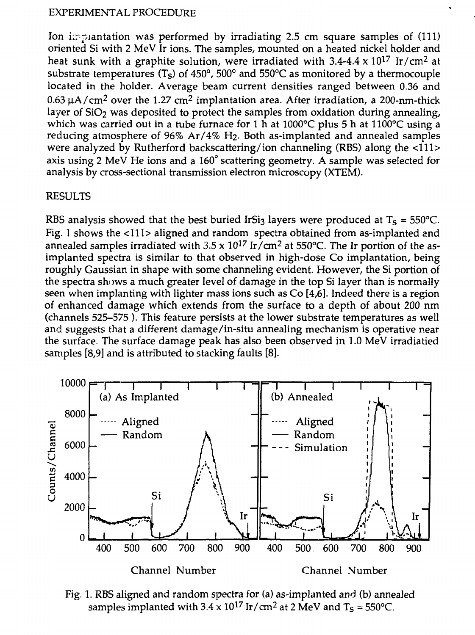#### EXPERIMENTAL PROCEDURE

Ion implantation was performed by irradiating 2.5 cm square samples of (111) oriented Si with 2 MeV Ir ions. The samples, mounted on a heated nickel holder and heat sunk with a graphite solution, were irradiated with 3.4-4.4 x 10<sup>17</sup> Ir/cm<sup>2</sup> at substrate temperatures (T<sub>S</sub>) of 450°, 500° and 550°C as monitored by a thermocouple located in the holder. Average beam current densities ranged between 0.36 and 0.63  $\mu$ A/cm<sup>2</sup> over the 1.27 cm<sup>2</sup> implantation area. After irradiation, a 200-nm-thick layer of  $SiO<sub>2</sub>$  was deposited to protect the samples from oxidation during annealing, which was carried out in a tube furnace for 1 h at 1000°C plus 5 h at 1100°C using a reducing atmosphere of 96% Ar/4% H2. Both as-implanted and annealed samples were analyzed by Rutherford backscattering/ion channeling (RBS) along the <111> axis using 2 MeV He ions and a 160° scattering geometry. A sample was selected for analysis by cross-sectional transmission electron microscopy (XTEM).

### RESULTS

RBS analysis showed that the best buried IrSi $_3$  layers were produced at T $_\mathrm{S}$  = 550°C. Fig. 1 shows the <111> aligned and random spectra obtained from as-implanted and annealed samples irradiated with  $3.5 \times 10^{17}$  Ir/cm<sup>2</sup> at 550°C. The Ir portion of the asimplanted spectra is similar to that observed in high-dose Co implantation, being roughly Gaussian in shape with some channeling evident. However, the Si portion of the spectra shows a much greater level of damage in the top Si layer than is normally seen when implanting with lighter mass ions such as Co [4,6]. Indeed there is a region of enhanced damage which extends from the surface to a depth of about 200 nm (channels 525-575 ). This feature persists at the lower substrate temperatures as well and suggests that a different damage/in-situ annealing mechanism is operative near the surface. The surface damage peak has also been observed in 1.0 MeV irradiatied samples [8,9] and is attributed to stacking faults [8].



Fig. 1. RBS aligned and random spectra for (a) as-implanted and (b) annealed samples implanted with 3.4 x 10<sup>17</sup> Ir/cm<sup>2</sup> at 2 MeV and T<sub>S</sub> = 550°C.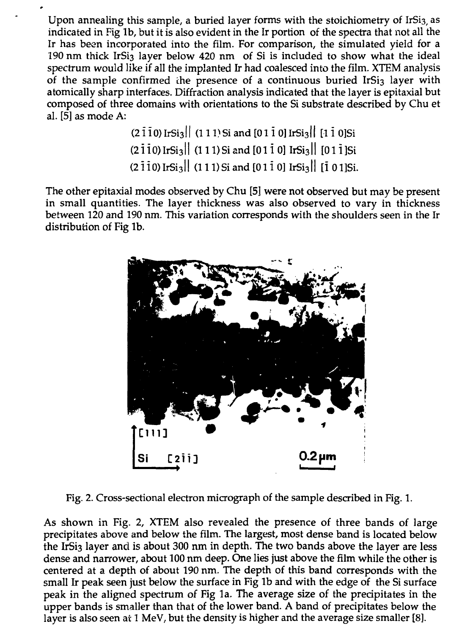Upon annealing this sample, a buried layer forms with the stoichiometry of IrSi3, as indicated in Fig lb, but it is also evident in the Ir portion of the spectra that not all the Ir has been incorporated into the film. For comparison, the simulated yield for a 190 nm thick IrSi<sub>3</sub> layer below 420 nm of Si is included to show what the ideal spectrum would like if all the implanted Ir had coalesced into the film. XTEM analysis of the sample confirmed the presence of a continuous buried IrSi3 layer with atomically sharp interfaces. Diffraction analysis indicated that the layer is epitaxial but composed of three domains with orientations to the Si substrate described by Chu et al. [5] as mode A:

> $(2\overline{1}10)$  IrSi<sub>3</sub>|| (111) Si and [011 0] IrSi<sub>3</sub>|| [110] Si  $(2\overline{110})$  IrSi<sub>3</sub><sup> $\vert$ </sup> (111) Si and  $[01\overline{1}0]$  IrSi<sub>3</sub><sup> $\vert$ </sup>  $[01\overline{1}]$  Si  $(2\overline{1}10)$  IrSi<sub>3</sub><sup>|</sup> (111) Si and  $[01\overline{1}0]$  IrSi<sub>3</sub><sup>|</sup> [101]Si.

The other epitaxial modes observed by Chu [5] were not observed but may be present in small quantities. The layer thickness was also observed to vary in thickness between 120 and 190 nm. This variation corresponds with the shoulders seen in the Ir distribution of Fig lb.



Fig. 2. Cross-sectional electron micrograph of the sample described in Fig. 1.

As shown in Fig. 2, XTEM also revealed the presence of three bands of large precipitates above and below the film. The largest, most dense band is located below the IrSi<sub>3</sub> layer and is about 300 nm in depth. The two bands above the layer are less dense and narrower, about 100 nm deep. One lies just above the film while the other is centered at a depth of about 190 nm. The depth of this band corresponds with the small Ir peak seen just below the surface in Fig lb and with the edge of the Si surface peak in the aligned spectrum of Fig la. The average size of the precipitates in the upper bands is smaller than that of the lower band. A band of precipitates below the layer is also seen at 1 MeV, but the density is higher and the average size smaller [8].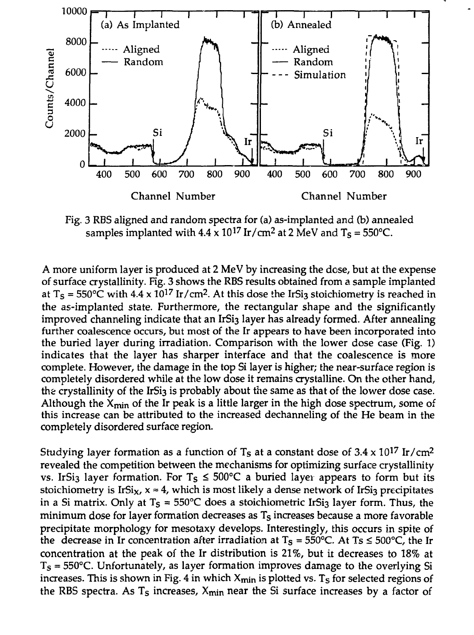

Fig. 3 RBS aligned and random spectra for (a) as-implanted and (b) annealed samples implanted with  $4.4 \times 10^{17}$  Ir/cm<sup>2</sup> at 2 MeV and T<sub>S</sub> = 550°C.

A more uniform layer is produced at 2 MeV by increasing the dose, but at the expense of surface crystallinity. Fig. 3 shows the RBS results obtained from a sample implanted at T<sub>S</sub> = 550°C with 4.4 x 10<sup>17</sup> Ir/cm<sup>2</sup>. At this dose the IrSi3 stoichiometry is reached in the as-implanted state. Furthermore, the rectangular shape and the significantly improved channeling indicate that an IrSi<sub>3</sub> layer has already formed. After annealing further coalescence occurs, but most of the Ir appears to have been incorporated into the buried layer during irradiation. Comparison with the lower dose case (Fig. 1) indicates that the layer has sharper interface and that the coalescence is more complete. However, the damage in the top Si layer is higher; the near-surface region is completely disordered while at the low dose it remains crystalline. On the other hand, the crystallinity of the IrSi<sub>3</sub> is probably about the same as that of the lower dose case. Although the  $X_{\text{min}}$  of the Ir peak is a little larger in the high dose spectrum, some of this increase can be attributed to the increased dechanneling of the He beam in the completely disordered surface region.

Studying layer formation as a function of T<sub>s</sub> at a constant dose of 3.4 x 10<sup>17</sup> Ir/cm<sup>2</sup> revealed the competition between the mechanisms for optimizing surface crystallinity vs. IrSi<sub>3</sub> layer formation. For  $T_s \le 500^{\circ}C$  a buried layer appears to form but its stoichiometry is IrSi<sub>x</sub>,  $x \approx 4$ , which is most likely a dense network of IrSi<sub>3</sub> precipitates in a Si matrix. Only at T $_{\text{S}}$  = 550°C does a stoichiometric IrSi $_3$  layer form. Thus, the minimum dose for layer formation decreases as  $\mathsf{T}_\mathsf{S}$  increases because a more favorable precipitate morphology for mesotaxy develops. Interestingly, this occurs in spite of the decrease in Ir concentration after irradiation at  $T_s = 550^{\circ}$ C. At  $Ts \le 500^{\circ}$ C, the Ir concentration at the peak of the Ir distribution is 21%, but it decreases to 18% at  $T_s = 550^{\circ}$ C. Unfortunately, as layer formation improves damage to the overlying Si increases. This is shown in Fig. 4 in which  $X_{\text{min}}$  is plotted vs. T<sub>s</sub> for selected regions of the RBS spectra. As  $T_s$  increases,  $X_{min}$  near the Si surface increases by a factor of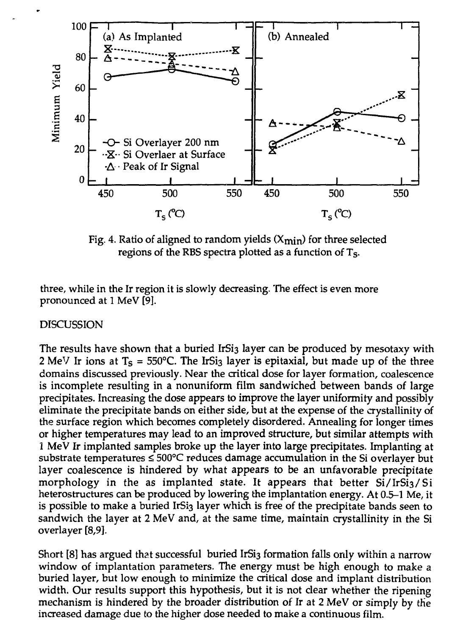

Fig. 4. Ratio of aligned to random yields  $(X<sub>min</sub>)$  for three selected regions of the RBS spectra plotted as a function of T<sub>S</sub>.

three, while in the Ir region it is slowly decreasing. The effect is even more pronounced at 1 MeV [91.

### DISCUSSION

The results have shown that a buried IrSi<sub>3</sub> layer can be produced by mesotaxy with 2 MeV Ir ions at T $_{\rm S}$  = 550°C. The IrSi $_3$  layer is epitaxial, but made up of the three domains discussed previously. Near the critical dose for layer formation, coalescence is incomplete resulting in a nonuniform film sandwiched between bands of large precipitates. Increasing the dose appears to improve the layer uniformity and possibly eliminate the precipitate bands on either side, but at the expense of the crystallinity of the surface region which becomes completely disordered. Annealing for longer times or higher temperatures may lead to an improved structure, but similar attempts with 1 MeV Ir implanted samples broke up the layer into large precipitates. Implanting at substrate temperatures  $\leq 500^{\circ}$ C reduces damage accumulation in the Si overlayer but layer coalescence is hindered by what appears to be an unfavorable precipitate morphology in the as implanted state. It appears that better  $Si/IrSi<sub>3</sub>/Si$ heterostructures can be produced by lowering the implantation energy. At 0.5-1 Me, it is possible to make a buried IrSi3 layer which is free of the precipitate bands seen to sandwich the layer at 2 MeV and, at the same time, maintain crystallinity in the Si overlayer [8,9].

Short [8] has argued that successful buried IrSi3 formation falls only within a narrow window of implantation parameters. The energy must be high enough to make a buried layer, but low enough to minimize the critical dose and implant distribution width. Our results support this hypothesis, but it is not clear whether the ripening mechanism is hindered by the broader distribution of Ir at 2 MeV or simply by the increased damage due to the higher dose needed to make a continuous film.